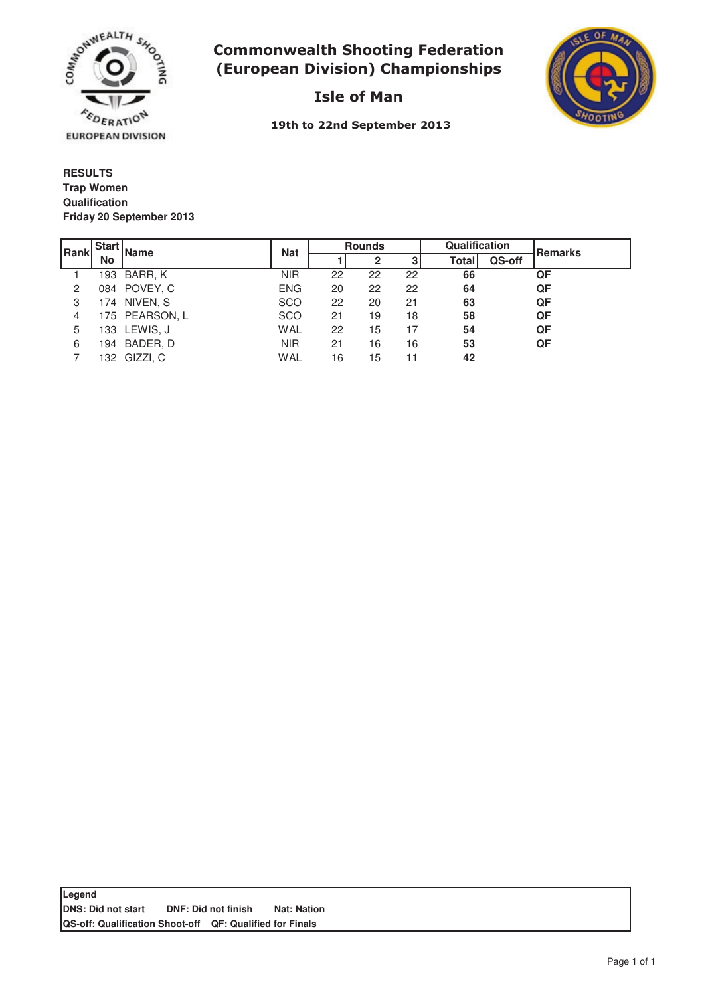

# **Commonwealth Shooting Federation** (European Division) Championships



Isle of Man

19th to 22nd September 2013

**RESULTS Qualification Friday 20 September 2013 Trap Women**

| l Rank | <b>Start</b> | <b>Name</b>    |            | <b>Rounds</b> |    |    | Qualification |        | Remarks |
|--------|--------------|----------------|------------|---------------|----|----|---------------|--------|---------|
|        | No           |                | <b>Nat</b> |               |    | 3  | <b>Total</b>  | QS-off |         |
|        |              | 193 BARR, K    | <b>NIR</b> | 22            | 22 | 22 | 66            |        | QF      |
| 2      |              | 084 POVEY, C   | <b>ENG</b> | 20            | 22 | 22 | 64            |        | QF      |
| 3      |              | 174 NIVEN, S   | <b>SCO</b> | 22            | 20 | 21 | 63            |        | QF      |
| 4      |              | 175 PEARSON, L | <b>SCO</b> | 21            | 19 | 18 | 58            |        | QF      |
| 5      |              | 133 LEWIS, J   | WAL        | 22            | 15 | 17 | 54            |        | QF      |
| 6      |              | 194 BADER, D   | <b>NIR</b> | 21            | 16 | 16 | 53            |        | QF      |
|        |              | 132 GIZZI, C   | WAL        | 16            | 15 | 11 | 42            |        |         |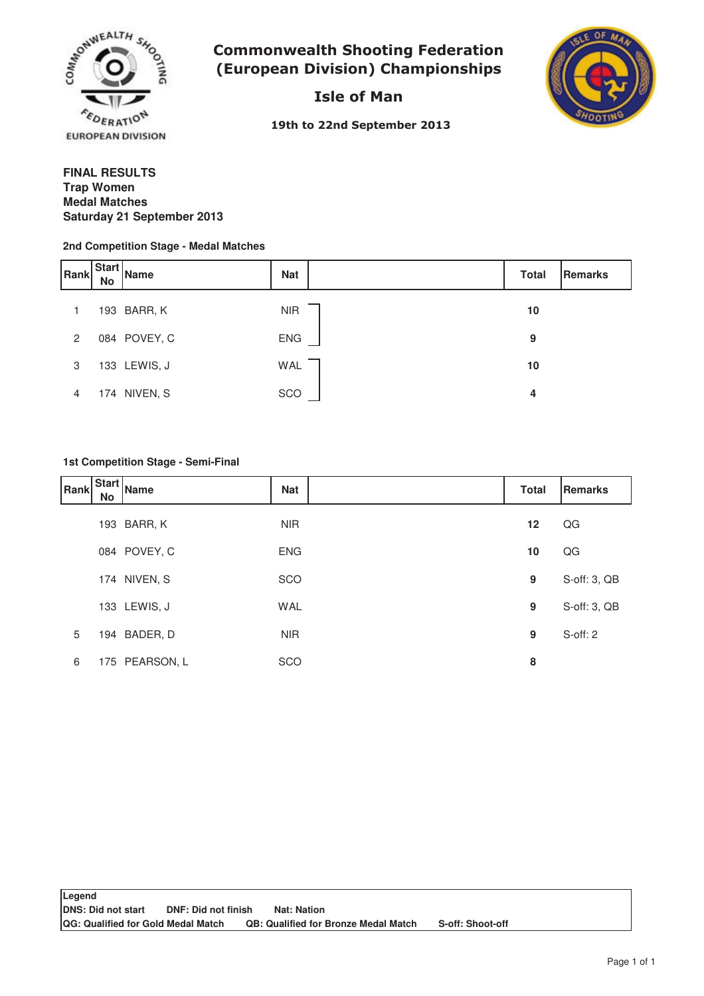

**Commonwealth Shooting Federation** (European Division) Championships

Isle of Man



19th to 22nd September 2013

### **FINAL RESULTS Medal Matches Saturday 21 September 2013 Trap Women**

#### **2nd Competition Stage - Medal Matches**

| Rank           | <b>Start</b><br><b>No</b> | Name         | <b>Nat</b> | <b>Total</b> | Remarks |
|----------------|---------------------------|--------------|------------|--------------|---------|
|                |                           | 193 BARR, K  | <b>NIR</b> | 10           |         |
| $\overline{2}$ |                           | 084 POVEY, C | <b>ENG</b> | 9            |         |
| 3              |                           | 133 LEWIS, J | WAL        | 10           |         |
| 4              |                           | 174 NIVEN, S | SCO        | 4            |         |

### **1st Competition Stage - Semi-Final**

| Rank | No | .   Start   Name | <b>Nat</b> | <b>Total</b> | <b>Remarks</b> |
|------|----|------------------|------------|--------------|----------------|
|      |    | 193 BARR, K      | <b>NIR</b> | 12           | QG             |
|      |    | 084 POVEY, C     | <b>ENG</b> | 10           | QG             |
|      |    | 174 NIVEN, S     | SCO        | 9            | S-off: 3, QB   |
|      |    | 133 LEWIS, J     | <b>WAL</b> | 9            | S-off: 3, QB   |
| 5    |    | 194 BADER, D     | <b>NIR</b> | 9            | S-off: 2       |
| 6    |    | 175 PEARSON, L   | SCO        | 8            |                |